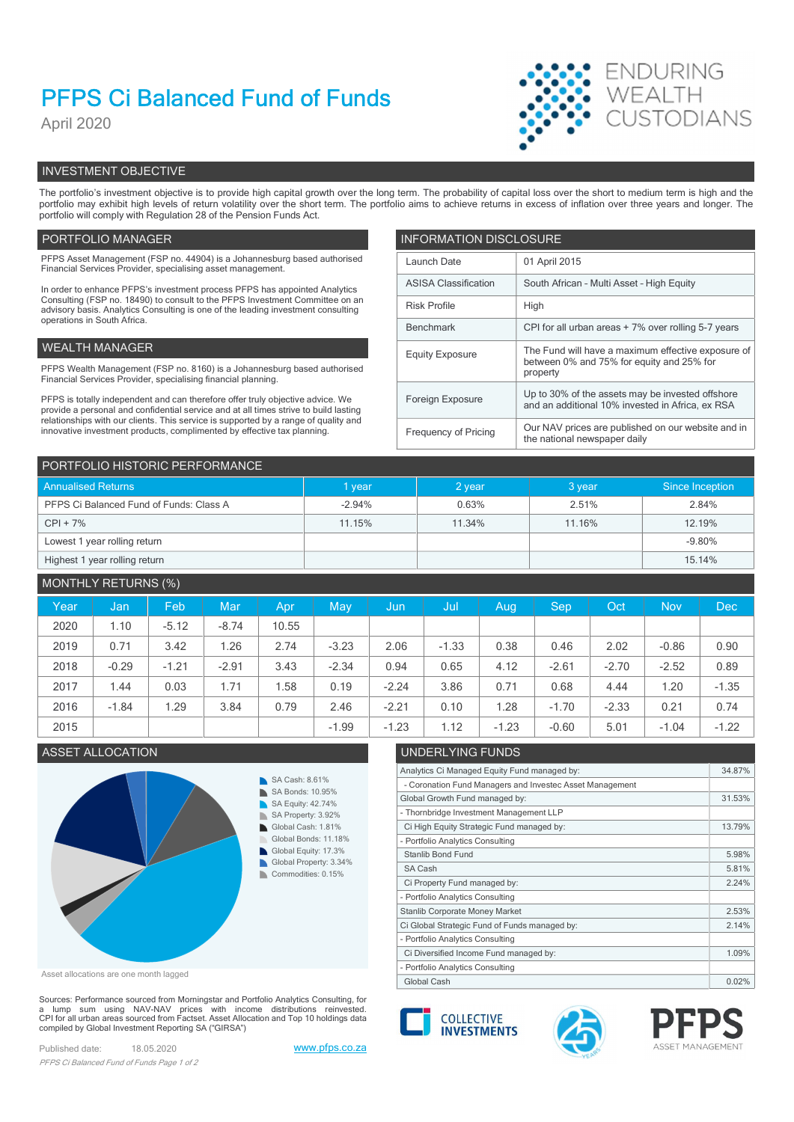# PFPS Ci Balanced Fund of Funds

April 2020



# INVESTMENT OBJECTIVE

The portfolio's investment objective is to provide high capital growth over the long term. The probability of capital loss over the short to medium term is high and the portfolio may exhibit high levels of return volatility over the short term. The portfolio aims to achieve returns in excess of inflation over three years and longer. The portfolio will comply with Regulation 28 of the Pension Funds Act.

## PORTFOLIO MANAGER **INFORMATION DISCLOSURE**

| PFPS Asset Management (FSP no. 44904) is a Johannesburg based authorised<br>Financial Services Provider, specialising asset management.                                | Launch Date                                                              | 01 April 2015                                                                                        |
|------------------------------------------------------------------------------------------------------------------------------------------------------------------------|--------------------------------------------------------------------------|------------------------------------------------------------------------------------------------------|
| In order to enhance PFPS's investment process PFPS has appointed Analytics                                                                                             | South African - Multi Asset - High Equity<br><b>ASISA Classification</b> |                                                                                                      |
| Consulting (FSP no. 18490) to consult to the PFPS Investment Committee on an<br>advisory basis. Analytics Consulting is one of the leading investment consulting       | <b>Risk Profile</b>                                                      | High                                                                                                 |
| operations in South Africa.                                                                                                                                            | CPI for all urban areas + 7% over rolling 5-7 years<br>Benchmark         |                                                                                                      |
| WEALTH MANAGER                                                                                                                                                         | <b>Equity Exposure</b>                                                   | The Fund will have a maximum effective exposure of                                                   |
| PFPS Wealth Management (FSP no. 8160) is a Johannesburg based authorised<br>Financial Services Provider, specialising financial planning.                              |                                                                          | between 0% and 75% for equity and 25% for<br>property                                                |
| PFPS is totally independent and can therefore offer truly objective advice. We<br>provide a personal and confidential service and at all times strive to build lasting | Foreign Exposure                                                         | Up to 30% of the assets may be invested offshore<br>and an additional 10% invested in Africa, ex RSA |
| relationships with our clients. This service is supported by a range of quality and<br>innovative investment products, complimented by effective tax planning.         | Frequency of Pricing                                                     | Our NAV prices are published on our website and in<br>the national newspaper daily                   |

| PORTFOLIO HISTORIC PERFORMANCE          |          |          |        |                 |  |  |  |  |
|-----------------------------------------|----------|----------|--------|-----------------|--|--|--|--|
| <b>Annualised Returns</b>               | I year   | $2$ year | 3 year | Since Inception |  |  |  |  |
| PFPS Ci Balanced Fund of Funds: Class A | $-2.94%$ | 0.63%    | 2.51%  | 2.84%           |  |  |  |  |
| $CPI + 7%$                              | 11.15%   | 11.34%   | 11.16% | 12.19%          |  |  |  |  |
| Lowest 1 year rolling return            |          |          |        | $-9.80%$        |  |  |  |  |
| Highest 1 year rolling return           |          |          |        | 15.14%          |  |  |  |  |

# MONTHLY RETURNS (%)

| Year | Jan     | Feb     | Mar     | Apr   | May     | /Jun    | / Jul   | Aug     | <b>Sep</b> | Oct     | <b>Nov</b> | Dec     |
|------|---------|---------|---------|-------|---------|---------|---------|---------|------------|---------|------------|---------|
| 2020 | 1.10    | $-5.12$ | $-8.74$ | 10.55 |         |         |         |         |            |         |            |         |
| 2019 | 0.71    | 3.42    | 1.26    | 2.74  | $-3.23$ | 2.06    | $-1.33$ | 0.38    | 0.46       | 2.02    | $-0.86$    | 0.90    |
| 2018 | $-0.29$ | $-1.21$ | $-2.91$ | 3.43  | $-2.34$ | 0.94    | 0.65    | 4.12    | $-2.61$    | $-2.70$ | $-2.52$    | 0.89    |
| 2017 | 1.44    | 0.03    | 1.71    | .58   | 0.19    | $-2.24$ | 3.86    | 0.71    | 0.68       | 4.44    | 1.20       | $-1.35$ |
| 2016 | $-1.84$ | .29     | 3.84    | 0.79  | 2.46    | $-2.21$ | 0.10    | 1.28    | $-1.70$    | $-2.33$ | 0.21       | 0.74    |
| 2015 |         |         |         |       | $-1.99$ | $-1.23$ | 1.12    | $-1.23$ | $-0.60$    | 5.01    | $-1.04$    | $-1.22$ |



Asset allocations are one month lagged

Sources: Performance sourced from Morningstar and Portfolio Analytics Consulting, for<br>a lump sum using NAV-NAV prices with income distributions reinvested.<br>CPI for all urban areas sourced from Factset. Asset Allocation an compiled by Global Investment Reporting SA ("GIRSA")

Published date: 18.05.2020 www.pfps.co.za PFPS Ci Balanced Fund of Funds Page 1 of 2